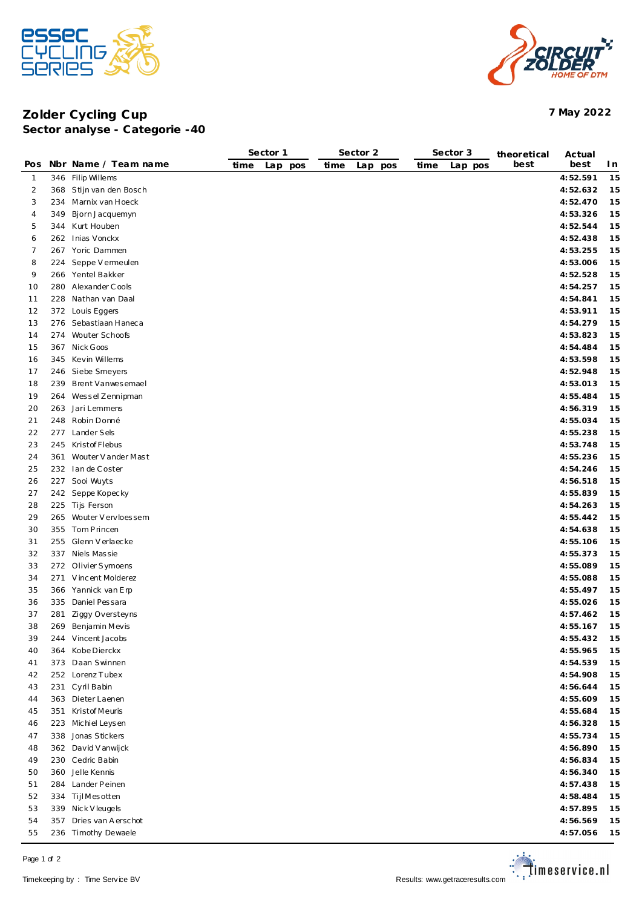



## **Zolder Cycling Cup 7 May 2022 Sector analyse - Categorie -40**

|                |     |                         | Sector 1 |            | Sector 2 |            | Sector 3 |         | theoretical | Actual   |     |
|----------------|-----|-------------------------|----------|------------|----------|------------|----------|---------|-------------|----------|-----|
| Pos            |     | Nbr Name / Team name    | time     | Lap<br>pos | time     | Lap<br>pos | time     | Lap pos | best        | best     | I n |
| $\mathbf{1}$   |     | 346 Filip Willems       |          |            |          |            |          |         |             | 4:52.591 | 15  |
| $\overline{2}$ |     | 368 Stijn van den Bosch |          |            |          |            |          |         |             | 4:52.632 | 15  |
| 3              |     | 234 Marnix van Hoeck    |          |            |          |            |          |         |             | 4:52.470 | 15  |
| 4              | 349 | Bjorn Jacquemyn         |          |            |          |            |          |         |             | 4:53.326 | 15  |
| 5              |     | 344 Kurt Houben         |          |            |          |            |          |         |             | 4:52.544 | 15  |
| 6              |     | 262 Inias Vonckx        |          |            |          |            |          |         |             | 4:52.438 | 15  |
| 7              |     | 267 Yoric Dammen        |          |            |          |            |          |         |             | 4:53.255 | 15  |
| 8              | 224 | Seppe V ermeulen        |          |            |          |            |          |         |             | 4:53.006 | 15  |
| 9              |     | 266 Yentel Bakker       |          |            |          |            |          |         |             | 4:52.528 | 15  |
| 10             |     | 280 Alexander Cools     |          |            |          |            |          |         |             | 4:54.257 | 15  |
| 11             |     | 228 Nathan van Daal     |          |            |          |            |          |         |             | 4:54.841 | 15  |
| 12             |     | 372 Louis Eggers        |          |            |          |            |          |         |             | 4:53.911 | 15  |
| 13             |     | 276 Sebastiaan Haneca   |          |            |          |            |          |         |             | 4:54.279 | 15  |
| 14             |     | 274 Wouter Schoofs      |          |            |          |            |          |         |             | 4:53.823 | 15  |
| 15             |     | 367 Nick Goos           |          |            |          |            |          |         |             |          | 15  |
|                |     |                         |          |            |          |            |          |         |             | 4:54.484 |     |
| 16             |     | 345 Kevin Willems       |          |            |          |            |          |         |             | 4:53.598 | 15  |
| 17             | 246 | Siebe Smeyers           |          |            |          |            |          |         |             | 4:52.948 | 15  |
| 18             |     | 239 Brent Vanwesemael   |          |            |          |            |          |         |             | 4:53.013 | 15  |
| 19             | 264 | Wessel Zennipman        |          |            |          |            |          |         |             | 4:55.484 | 15  |
| 20             |     | 263 Jari Lemmens        |          |            |          |            |          |         |             | 4:56.319 | 15  |
| 21             |     | 248 Robin Donné         |          |            |          |            |          |         |             | 4:55.034 | 15  |
| 22             |     | 277 Lander Sels         |          |            |          |            |          |         |             | 4:55.238 | 15  |
| 23             |     | 245 Kristof Flebus      |          |            |          |            |          |         |             | 4:53.748 | 15  |
| 24             |     | 361 Wouter V ander Mast |          |            |          |            |          |         |             | 4:55.236 | 15  |
| 25             |     | 232 Ian de Coster       |          |            |          |            |          |         |             | 4:54.246 | 15  |
| 26             |     | 227 Sooi Wuyts          |          |            |          |            |          |         |             | 4:56.518 | 15  |
| 27             |     | 242 Seppe Kopecky       |          |            |          |            |          |         |             | 4:55.839 | 15  |
| 28             |     | 225 Tijs Ferson         |          |            |          |            |          |         |             | 4:54.263 | 15  |
| 29             |     | 265 Wouter V ervloessem |          |            |          |            |          |         |             | 4:55.442 | 15  |
| 30             |     | 355 Tom Princen         |          |            |          |            |          |         |             | 4:54.638 | 15  |
| 31             |     | 255 Glenn Verlaecke     |          |            |          |            |          |         |             | 4:55.106 | 15  |
| 32             |     | 337 Niels Massie        |          |            |          |            |          |         |             | 4:55.373 | 15  |
| 33             |     | 272 Olivier Symoens     |          |            |          |            |          |         |             | 4:55.089 | 15  |
| 34             |     | 271 Vincent Molderez    |          |            |          |            |          |         |             | 4:55.088 | 15  |
| 35             |     | 366 Yannick van Erp     |          |            |          |            |          |         |             | 4:55.497 | 15  |
| 36             |     | 335 Daniel Pessara      |          |            |          |            |          |         |             | 4:55.026 | 15  |
| 37             | 281 | Ziggy Oversteyns        |          |            |          |            |          |         |             | 4:57.462 | 15  |
| 38             |     | 269 Benjamin Mevis      |          |            |          |            |          |         |             | 4:55.167 | 15  |
| 39             |     | 244 Vincent Jacobs      |          |            |          |            |          |         |             | 4:55.432 | 15  |
| 40             |     | 364 Kobe Dierckx        |          |            |          |            |          |         |             | 4:55.965 | 15  |
| 41             |     | 373 Daan Swinnen        |          |            |          |            |          |         |             | 4:54.539 | 15  |
| 42             |     | 252 Lorenz Tubex        |          |            |          |            |          |         |             | 4:54.908 | 15  |
| 43             |     | 231 Cyril Babin         |          |            |          |            |          |         |             | 4:56.644 | 15  |
| 44             |     | 363 Dieter Laenen       |          |            |          |            |          |         |             | 4:55.609 | 15  |
| 45             |     | 351 Kristof Meuris      |          |            |          |            |          |         |             | 4:55.684 | 15  |
| 46             |     | 223 Michiel Leysen      |          |            |          |            |          |         |             | 4:56.328 | 15  |
| 47             |     | 338 Jonas Stickers      |          |            |          |            |          |         |             | 4:55.734 | 15  |
| 48             |     | 362 David Vanwijck      |          |            |          |            |          |         |             | 4:56.890 | 15  |
| 49             |     | 230 Cedric Babin        |          |            |          |            |          |         |             | 4:56.834 | 15  |
| 50             |     | 360 Jelle Kennis        |          |            |          |            |          |         |             | 4:56.340 | 15  |
| 51             |     | 284 Lander Peinen       |          |            |          |            |          |         |             | 4:57.438 | 15  |
| 52             |     | 334 TijlMesotten        |          |            |          |            |          |         |             | 4:58.484 | 15  |
| 53             |     | 339 Nick V leugels      |          |            |          |            |          |         |             | 4:57.895 | 15  |
| 54             |     | 357 Dries van Aerschot  |          |            |          |            |          |         |             | 4:56.569 | 15  |
| 55             |     | 236 Timothy Dewaele     |          |            |          |            |          |         |             | 4:57.056 | 15  |
|                |     |                         |          |            |          |            |          |         |             |          |     |

Page 1 of 2